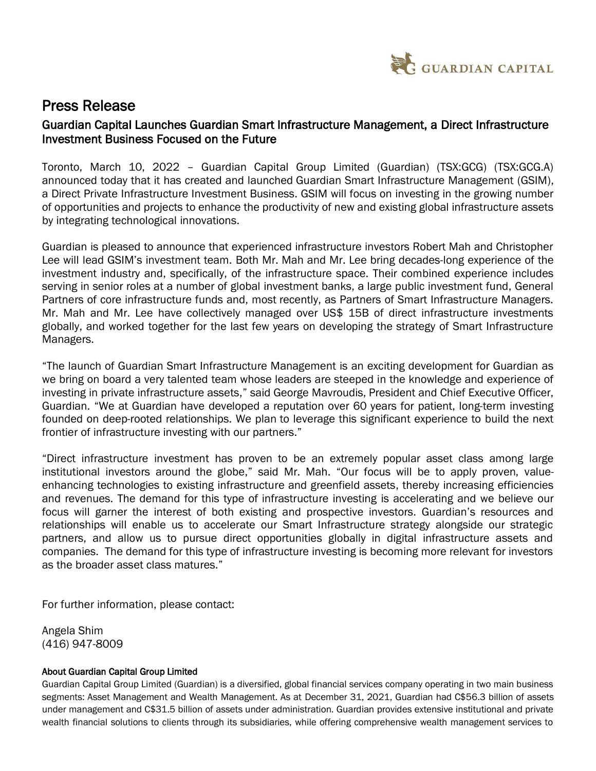

## Press Release

## Guardian Capital Launches Guardian Smart Infrastructure Management, a Direct Infrastructure Investment Business Focused on the Future

Toronto, March 10, 2022 – Guardian Capital Group Limited (Guardian) (TSX:GCG) (TSX:GCG.A) announced today that it has created and launched Guardian Smart Infrastructure Management (GSIM), a Direct Private Infrastructure Investment Business. GSIM will focus on investing in the growing number of opportunities and projects to enhance the productivity of new and existing global infrastructure assets by integrating technological innovations.

Guardian is pleased to announce that experienced infrastructure investors Robert Mah and Christopher Lee will lead GSIM's investment team. Both Mr. Mah and Mr. Lee bring decades-long experience of the investment industry and, specifically, of the infrastructure space. Their combined experience includes serving in senior roles at a number of global investment banks, a large public investment fund, General Partners of core infrastructure funds and, most recently, as Partners of Smart Infrastructure Managers. Mr. Mah and Mr. Lee have collectively managed over US\$ 15B of direct infrastructure investments globally, and worked together for the last few years on developing the strategy of Smart Infrastructure Managers.

"The launch of Guardian Smart Infrastructure Management is an exciting development for Guardian as we bring on board a very talented team whose leaders are steeped in the knowledge and experience of investing in private infrastructure assets," said George Mavroudis, President and Chief Executive Officer, Guardian. "We at Guardian have developed a reputation over 60 years for patient, long-term investing founded on deep-rooted relationships. We plan to leverage this significant experience to build the next frontier of infrastructure investing with our partners."

"Direct infrastructure investment has proven to be an extremely popular asset class among large institutional investors around the globe," said Mr. Mah. "Our focus will be to apply proven, valueenhancing technologies to existing infrastructure and greenfield assets, thereby increasing efficiencies and revenues. The demand for this type of infrastructure investing is accelerating and we believe our focus will garner the interest of both existing and prospective investors. Guardian's resources and relationships will enable us to accelerate our Smart Infrastructure strategy alongside our strategic partners, and allow us to pursue direct opportunities globally in digital infrastructure assets and companies. The demand for this type of infrastructure investing is becoming more relevant for investors as the broader asset class matures."

For further information, please contact:

Angela Shim (416) 947-8009

## About Guardian Capital Group Limited

Guardian Capital Group Limited (Guardian) is a diversified, global financial services company operating in two main business segments: Asset Management and Wealth Management. As at December 31, 2021, Guardian had C\$56.3 billion of assets under management and C\$31.5 billion of assets under administration. Guardian provides extensive institutional and private wealth financial solutions to clients through its subsidiaries, while offering comprehensive wealth management services to